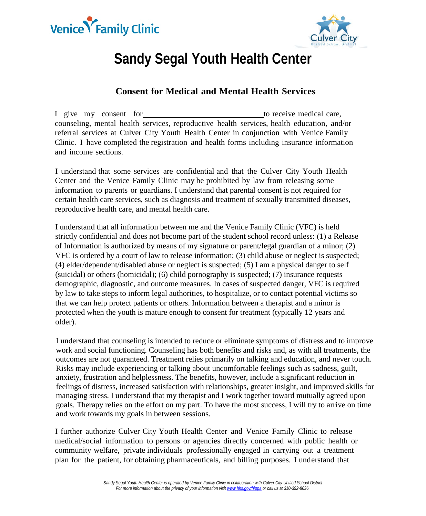



## **Sandy Segal Youth Health Center**

## **Consent for Medical and Mental Health Services**

I give my consent for the to receive medical care, counseling, mental health services, reproductive health services, health education, and/or referral services at Culver City Youth Health Center in conjunction with Venice Family Clinic. I have completed the registration and health forms including insurance information and income sections.

I understand that some services are confidential and that the Culver City Youth Health Center and the Venice Family Clinic may be prohibited by law from releasing some information to parents or guardians. I understand that parental consent is not required for certain health care services, such as diagnosis and treatment of sexually transmitted diseases, reproductive health care, and mental health care.

I understand that all information between me and the Venice Family Clinic (VFC) is held strictly confidential and does not become part of the student school record unless: (1) a Release of Information is authorized by means of my signature or parent/legal guardian of a minor; (2) VFC is ordered by a court of law to release information; (3) child abuse or neglect is suspected; (4) elder/dependent/disabled abuse or neglect is suspected; (5) I am a physical danger to self (suicidal) or others (homicidal); (6) child pornography is suspected; (7) insurance requests demographic, diagnostic, and outcome measures. In cases of suspected danger, VFC is required by law to take steps to inform legal authorities, to hospitalize, or to contact potential victims so that we can help protect patients or others. Information between a therapist and a minor is protected when the youth is mature enough to consent for treatment (typically 12 years and older).

I understand that counseling is intended to reduce or eliminate symptoms of distress and to improve work and social functioning. Counseling has both benefits and risks and, as with all treatments, the outcomes are not guaranteed. Treatment relies primarily on talking and education, and never touch. Risks may include experiencing or talking about uncomfortable feelings such as sadness, guilt, anxiety, frustration and helplessness. The benefits, however, include a significant reduction in feelings of distress, increased satisfaction with relationships, greater insight, and improved skills for managing stress. I understand that my therapist and I work together toward mutually agreed upon goals. Therapy relies on the effort on my part. To have the most success, I will try to arrive on time and work towards my goals in between sessions.

I further authorize Culver City Youth Health Center and Venice Family Clinic to release medical/social information to persons or agencies directly concerned with public health or community welfare, private individuals professionally engaged in carrying out a treatment plan for the patient, for obtaining pharmaceuticals, and billing purposes. I understand that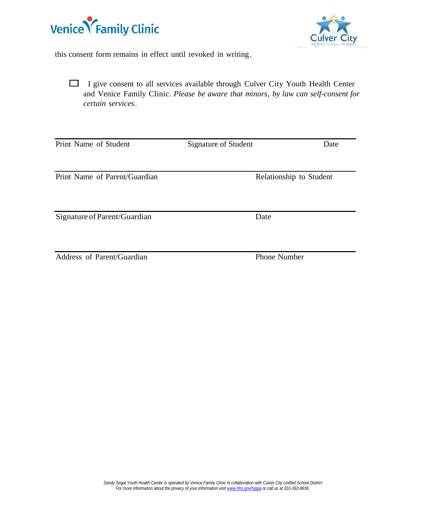



this consent form remains in effect until revoked in writing.

☐ <sup>I</sup> give consent to all services available through Culver City Youth Health Center and Venice Family Clinic. *Please be aware that minors, by law can self-consent for certain services.*

| Print Name of Student         | Signature of Student | Date                    |
|-------------------------------|----------------------|-------------------------|
| Print Name of Parent/Guardian |                      | Relationship to Student |
| Signature of Parent/Guardian  | Date                 |                         |
| Address of Parent/Guardian    | <b>Phone Number</b>  |                         |